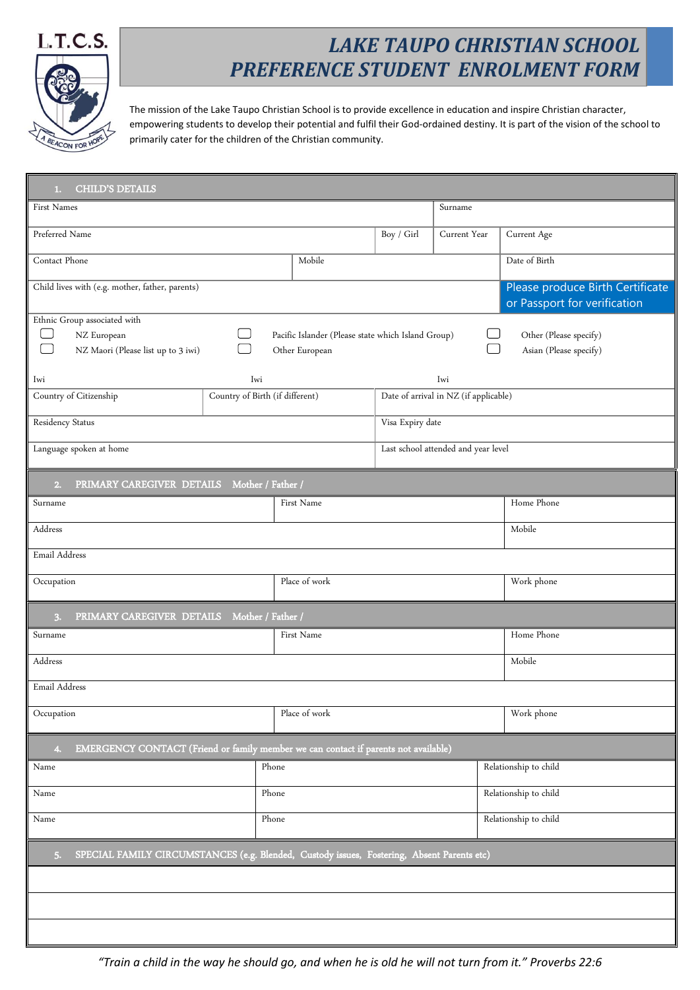

## *LAKE TAUPO CHRISTIAN SCHOOL PREFERENCE STUDENT ENROLMENT FORM*

The mission of the Lake Taupo Christian School is to provide excellence in education and inspire Christian character, empowering students to develop their potential and fulfil their God-ordained destiny. It is part of the vision of the school to primarily cater for the children of the Christian community.

| <b>CHILD'S DETAILS</b><br>1.                                                                     |                                 |                                                    |                       |                                       |                                  |  |
|--------------------------------------------------------------------------------------------------|---------------------------------|----------------------------------------------------|-----------------------|---------------------------------------|----------------------------------|--|
| First Names                                                                                      |                                 |                                                    |                       | Surname                               |                                  |  |
| Preferred Name                                                                                   |                                 |                                                    | Boy / Girl            | Current Year                          | Current Age                      |  |
| Contact Phone                                                                                    |                                 | Mobile                                             |                       |                                       | Date of Birth                    |  |
| Child lives with (e.g. mother, father, parents)                                                  |                                 |                                                    |                       |                                       | Please produce Birth Certificate |  |
| Ethnic Group associated with                                                                     |                                 |                                                    |                       |                                       | or Passport for verification     |  |
| NZ European                                                                                      |                                 | Pacific Islander (Please state which Island Group) |                       |                                       | Other (Please specify)           |  |
| NZ Maori (Please list up to 3 iwi)                                                               |                                 | Other European                                     |                       |                                       | Asian (Please specify)           |  |
| Iwi                                                                                              | Iwi                             |                                                    |                       | Iwi                                   |                                  |  |
| Country of Citizenship                                                                           | Country of Birth (if different) |                                                    |                       | Date of arrival in NZ (if applicable) |                                  |  |
| Residency Status                                                                                 |                                 |                                                    | Visa Expiry date      |                                       |                                  |  |
| Language spoken at home                                                                          |                                 |                                                    |                       | Last school attended and year level   |                                  |  |
| PRIMARY CAREGIVER DETAILS<br>2.                                                                  |                                 | Mother / Father /                                  |                       |                                       |                                  |  |
| Surname                                                                                          |                                 | First Name                                         |                       |                                       | Home Phone                       |  |
| Address                                                                                          |                                 |                                                    |                       |                                       | Mobile                           |  |
| Email Address                                                                                    |                                 |                                                    |                       |                                       |                                  |  |
| Occupation                                                                                       |                                 | Place of work                                      |                       |                                       | Work phone                       |  |
| PRIMARY CAREGIVER DETAILS Mother / Father /<br>3.                                                |                                 |                                                    |                       |                                       |                                  |  |
| Surname                                                                                          |                                 | First Name                                         |                       |                                       | Home Phone                       |  |
| Address<br>Mobile                                                                                |                                 |                                                    |                       |                                       |                                  |  |
| Email Address                                                                                    |                                 |                                                    |                       |                                       |                                  |  |
| Occupation                                                                                       |                                 | Place of work                                      |                       |                                       | Work phone                       |  |
| EMERGENCY CONTACT (Friend or family member we can contact if parents not available)<br>4.        |                                 |                                                    |                       |                                       |                                  |  |
| Name                                                                                             | Phone                           |                                                    | Relationship to child |                                       |                                  |  |
| Name                                                                                             |                                 | Phone                                              |                       |                                       | Relationship to child            |  |
| Name                                                                                             |                                 | Phone                                              | Relationship to child |                                       |                                  |  |
| SPECIAL FAMILY CIRCUMSTANCES (e.g. Blended, Custody issues, Fostering, Absent Parents etc)<br>5. |                                 |                                                    |                       |                                       |                                  |  |
|                                                                                                  |                                 |                                                    |                       |                                       |                                  |  |
|                                                                                                  |                                 |                                                    |                       |                                       |                                  |  |
|                                                                                                  |                                 |                                                    |                       |                                       |                                  |  |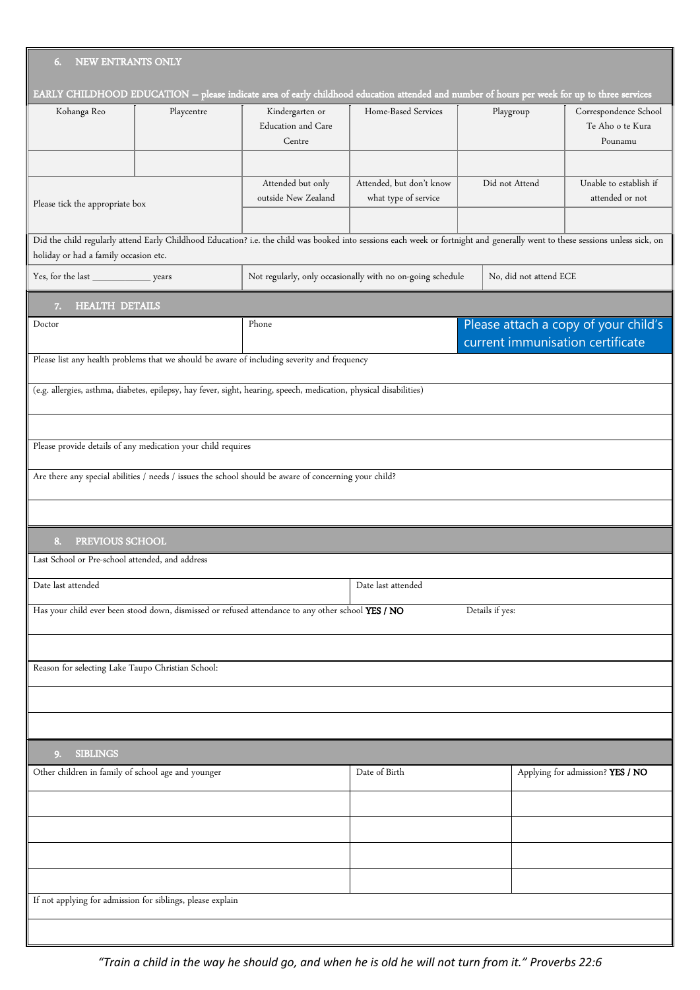| NEW ENTRANTS ONLY<br>6.                                                                                              |                                                                                                                    |                                                 |                                                                                                                                                                               |                                  |                                                      |
|----------------------------------------------------------------------------------------------------------------------|--------------------------------------------------------------------------------------------------------------------|-------------------------------------------------|-------------------------------------------------------------------------------------------------------------------------------------------------------------------------------|----------------------------------|------------------------------------------------------|
|                                                                                                                      |                                                                                                                    |                                                 | EARLY CHILDHOOD EDUCATION - please indicate area of early childhood education attended and number of hours per week for up to three services                                  |                                  |                                                      |
| Kohanga Reo                                                                                                          | Playcentre                                                                                                         | Kindergarten or<br>Education and Care<br>Centre | Home-Based Services                                                                                                                                                           | Playgroup                        | Correspondence School<br>Te Aho o te Kura<br>Pounamu |
|                                                                                                                      |                                                                                                                    |                                                 |                                                                                                                                                                               |                                  |                                                      |
| Please tick the appropriate box                                                                                      |                                                                                                                    | Attended but only<br>outside New Zealand        | Attended, but don't know<br>what type of service                                                                                                                              | Did not Attend                   | Unable to establish if<br>attended or not            |
|                                                                                                                      |                                                                                                                    |                                                 |                                                                                                                                                                               |                                  |                                                      |
| holiday or had a family occasion etc.                                                                                |                                                                                                                    |                                                 | Did the child regularly attend Early Childhood Education? i.e. the child was booked into sessions each week or fortnight and generally went to these sessions unless sick, on |                                  |                                                      |
| Yes, for the last ________________________ years                                                                     |                                                                                                                    |                                                 | Not regularly, only occasionally with no on-going schedule                                                                                                                    | No, did not attend ECE           |                                                      |
| <b>HEALTH DETAILS</b><br>7.                                                                                          |                                                                                                                    |                                                 |                                                                                                                                                                               |                                  |                                                      |
| Doctor                                                                                                               |                                                                                                                    | Phone                                           |                                                                                                                                                                               | current immunisation certificate | Please attach a copy of your child's                 |
|                                                                                                                      | Please list any health problems that we should be aware of including severity and frequency                        |                                                 |                                                                                                                                                                               |                                  |                                                      |
|                                                                                                                      | (e.g. allergies, asthma, diabetes, epilepsy, hay fever, sight, hearing, speech, medication, physical disabilities) |                                                 |                                                                                                                                                                               |                                  |                                                      |
|                                                                                                                      |                                                                                                                    |                                                 |                                                                                                                                                                               |                                  |                                                      |
|                                                                                                                      | Please provide details of any medication your child requires                                                       |                                                 |                                                                                                                                                                               |                                  |                                                      |
|                                                                                                                      | Are there any special abilities / needs / issues the school should be aware of concerning your child?              |                                                 |                                                                                                                                                                               |                                  |                                                      |
|                                                                                                                      |                                                                                                                    |                                                 |                                                                                                                                                                               |                                  |                                                      |
| PREVIOUS SCHOOL<br>8.                                                                                                |                                                                                                                    |                                                 |                                                                                                                                                                               |                                  |                                                      |
| Last School or Pre-school attended, and address                                                                      |                                                                                                                    |                                                 |                                                                                                                                                                               |                                  |                                                      |
| Date last attended                                                                                                   |                                                                                                                    |                                                 | Date last attended                                                                                                                                                            |                                  |                                                      |
| Has your child ever been stood down, dismissed or refused attendance to any other school YES / NO<br>Details if yes: |                                                                                                                    |                                                 |                                                                                                                                                                               |                                  |                                                      |
|                                                                                                                      |                                                                                                                    |                                                 |                                                                                                                                                                               |                                  |                                                      |
| Reason for selecting Lake Taupo Christian School:                                                                    |                                                                                                                    |                                                 |                                                                                                                                                                               |                                  |                                                      |
|                                                                                                                      |                                                                                                                    |                                                 |                                                                                                                                                                               |                                  |                                                      |
|                                                                                                                      |                                                                                                                    |                                                 |                                                                                                                                                                               |                                  |                                                      |
| <b>SIBLINGS</b><br>9.                                                                                                |                                                                                                                    |                                                 |                                                                                                                                                                               |                                  |                                                      |
| Other children in family of school age and younger                                                                   |                                                                                                                    |                                                 | Date of Birth                                                                                                                                                                 |                                  | Applying for admission? YES / NO                     |
|                                                                                                                      |                                                                                                                    |                                                 |                                                                                                                                                                               |                                  |                                                      |
|                                                                                                                      |                                                                                                                    |                                                 |                                                                                                                                                                               |                                  |                                                      |
|                                                                                                                      |                                                                                                                    |                                                 |                                                                                                                                                                               |                                  |                                                      |
|                                                                                                                      |                                                                                                                    |                                                 |                                                                                                                                                                               |                                  |                                                      |
|                                                                                                                      | If not applying for admission for siblings, please explain                                                         |                                                 |                                                                                                                                                                               |                                  |                                                      |

*"Train a child in the way he should go, and when he is old he will not turn from it." Proverbs 22:6*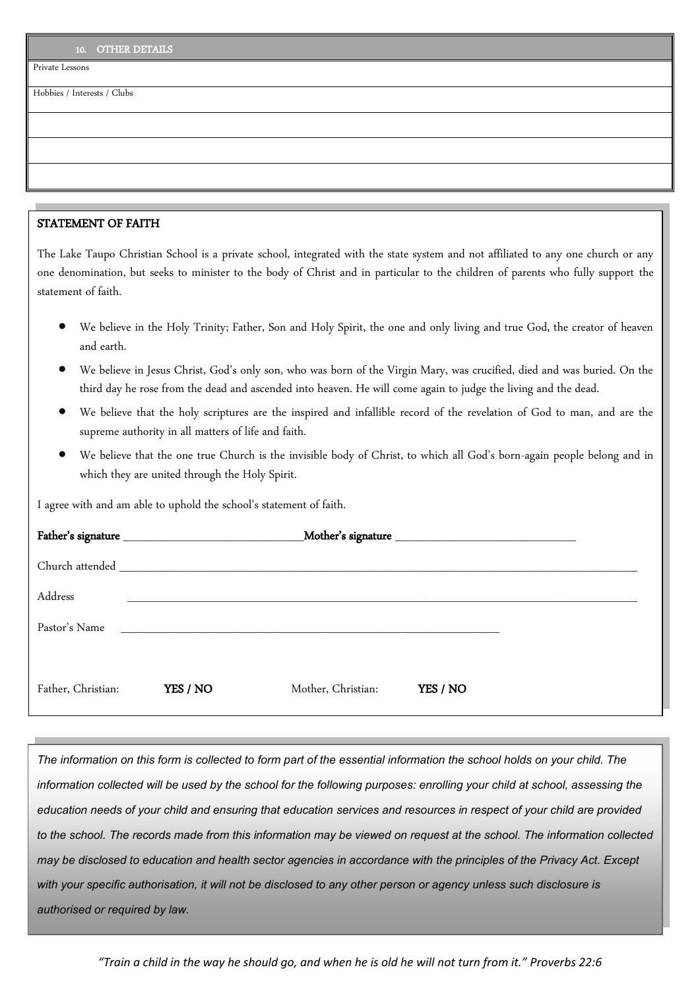Private Lessons

Hobbies / Interests / Clubs

## STATEMENT OF FAITH

The Lake Taupo Christian School is a private school, integrated with the state system and not affiliated to any one church or any one denomination, but seeks to minister to the body of Christ and in particular to the children of parents who fully support the statement of faith.

- We believe in the Holy Trinity; Father, Son and Holy Spirit, the one and only living and true God, the creator of heaven and earth.
- We believe in Jesus Christ, God's only son, who was born of the Virgin Mary, was crucified, died and was buried. On the third day he rose from the dead and ascended into heaven. He will come again to judge the living and the dead.
- We believe that the holy scriptures are the inspired and infallible record of the revelation of God to man, and are the supreme authority in all matters of life and faith.
- We believe that the one true Church is the invisible body of Christ, to which all God's born-again people belong and in which they are united through the Holy Spirit.

I agree with and am able to uphold the school's statement of faith.

|                    |          | Church attended and the state of the state of the state of the state of the state of the state of the state of |          |  |  |
|--------------------|----------|----------------------------------------------------------------------------------------------------------------|----------|--|--|
| Address            |          |                                                                                                                |          |  |  |
| Pastor's Name      |          |                                                                                                                |          |  |  |
| Father, Christian: | YES / NO | Mother, Christian:                                                                                             | YES / NO |  |  |

*The information on this form is collected to form part of the essential information the school holds on your child. The*  information collected will be used by the school for the following purposes: enrolling your child at school, assessing the *education needs of your child and ensuring that education services and resources in respect of your child are provided to the school. The records made from this information may be viewed on request at the school. The information collected may be disclosed to education and health sector agencies in accordance with the principles of the Privacy Act. Except with your specific authorisation, it will not be disclosed to any other person or agency unless such disclosure is authorised or required by law.*

*"Train a child in the way he should go, and when he is old he will not turn from it." Proverbs 22:6*